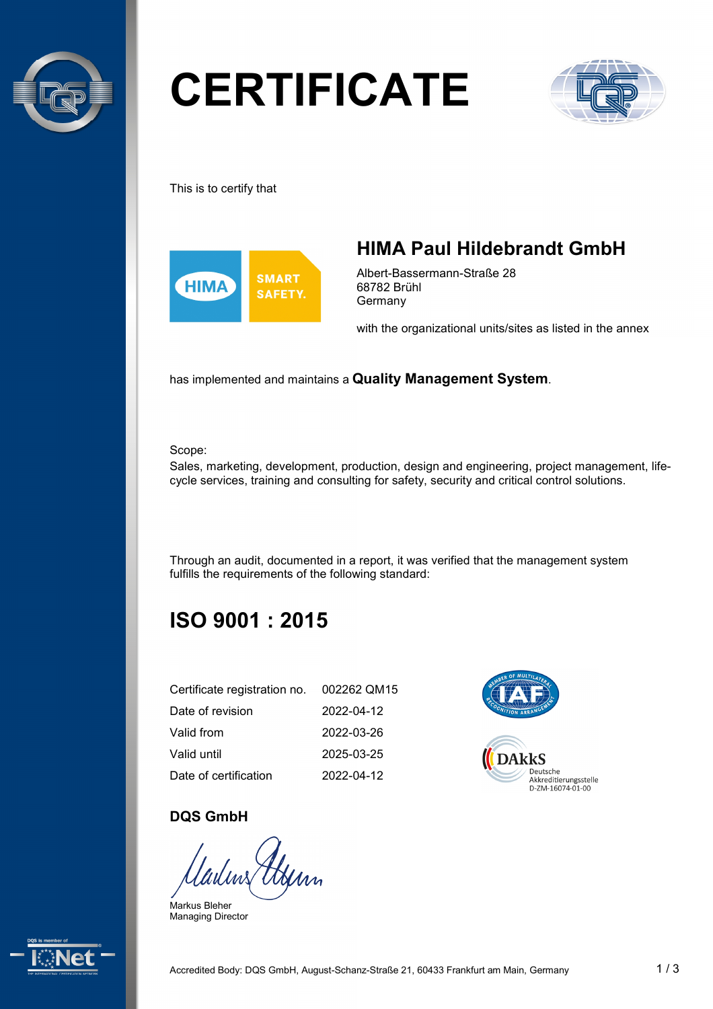

# **CERTIFICATE**



This is to certify that



## **HIMA Paul Hildebrandt GmbH**

Albert-Bassermann-Straße 28 68782 Brühl **Germany** 

with the organizational units/sites as listed in the annex

has implemented and maintains a **Quality Management System**.

Scope:

Sales, marketing, development, production, design and engineering, project management, lifecycle services, training and consulting for safety, security and critical control solutions.

Through an audit, documented in a report, it was verified that the management system fulfills the requirements of the following standard:

## **ISO 9001 : 2015**

| Certificate registration no. 002262 QM15 |            |
|------------------------------------------|------------|
| Date of revision                         | 2022-04-12 |
| Valid from                               | 2022-03-26 |
| Valid until                              | 2025-03-25 |
| Date of certification                    | 2022-04-12 |



#### **DQS GmbH**

Henn

Markus Bleher Managing Director

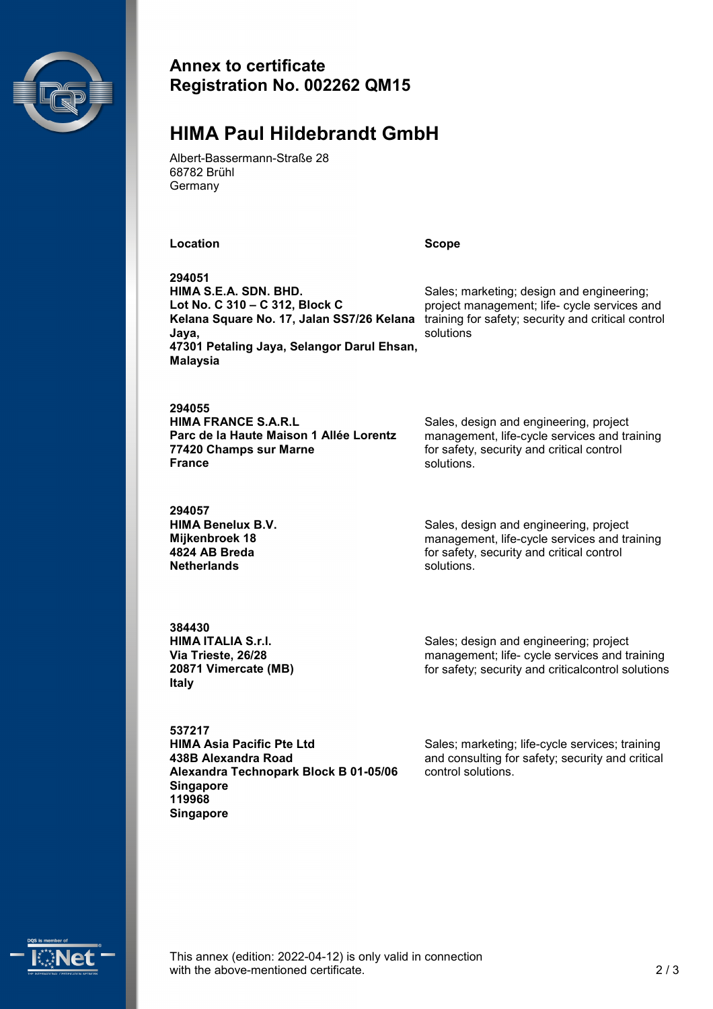

#### **Annex to certificate Registration No. 002262 QM15**

#### **HIMA Paul Hildebrandt GmbH**

Albert-Bassermann-Straße 28 68782 Brühl Germany

**Location Scope**

**294051 HIMA S.E.A. SDN. BHD. Lot No. C 310 – C 312, Block C Kelana Square No. 17, Jalan SS7/26 Kelana Jaya, 47301 Petaling Jaya, Selangor Darul Ehsan, Malaysia**

**294055 HIMA FRANCE S.A.R.L Parc de la Haute Maison 1 Allée Lorentz 77420 Champs sur Marne France**

**294057 HIMA Benelux B.V. Mijkenbroek 18 4824 AB Breda Netherlands**

Sales, design and engineering, project management, life-cycle services and training for safety, security and critical control solutions.

Sales; marketing; design and engineering; project management; life- cycle services and training for safety; security and critical control

solutions

Sales, design and engineering, project management, life-cycle services and training for safety, security and critical control solutions.

**384430 HIMA ITALIA S.r.l. Via Trieste, 26/28 20871 Vimercate (MB) Italy**

Sales; design and engineering; project management; life- cycle services and training for safety; security and criticalcontrol solutions

**537217 HIMA Asia Pacific Pte Ltd 438B Alexandra Road Alexandra Technopark Block B 01-05/06 Singapore 119968 Singapore**

Sales; marketing; life-cycle services; training and consulting for safety; security and critical control solutions.



This annex (edition: 2022-04-12) is only valid in connection with the above-mentioned certificate. 2/3